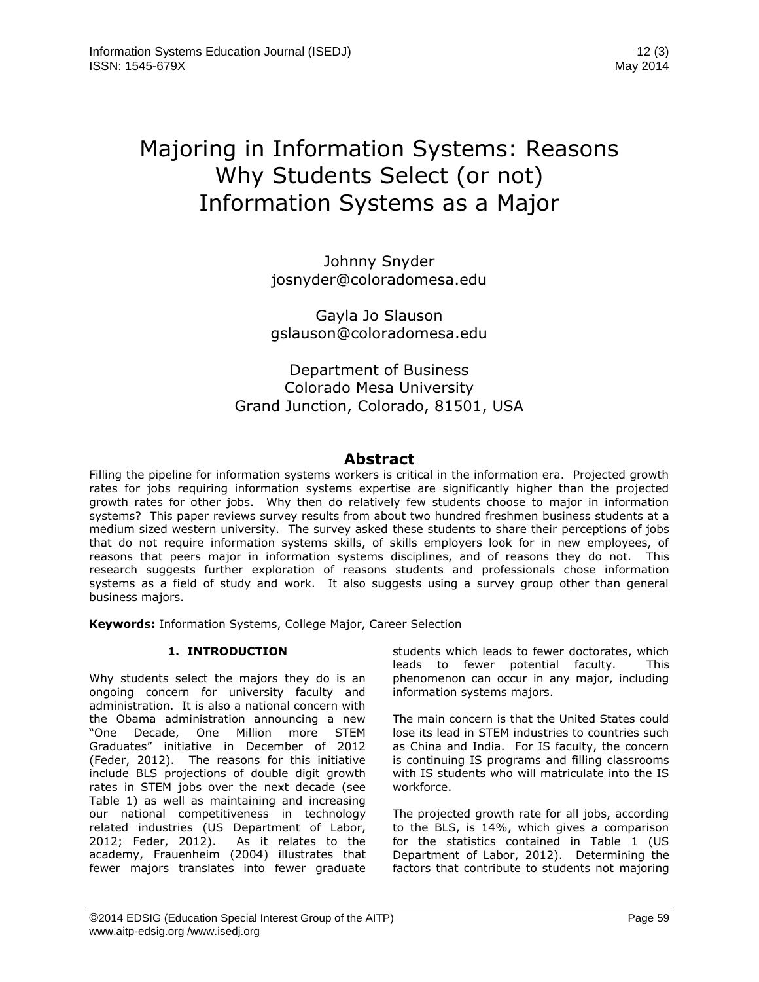# Majoring in Information Systems: Reasons Why Students Select (or not) Information Systems as a Major

Johnny Snyder [josnyder@coloradomesa.edu](mailto:josnyder@coloradomesa.edu)

Gayla Jo Slauson [gslauson@coloradomesa.edu](mailto:gslauson@coloradomesa.edu)

# Department of Business Colorado Mesa University Grand Junction, Colorado, 81501, USA

# **Abstract**

Filling the pipeline for information systems workers is critical in the information era. Projected growth rates for jobs requiring information systems expertise are significantly higher than the projected growth rates for other jobs. Why then do relatively few students choose to major in information systems? This paper reviews survey results from about two hundred freshmen business students at a medium sized western university. The survey asked these students to share their perceptions of jobs that do not require information systems skills, of skills employers look for in new employees, of reasons that peers major in information systems disciplines, and of reasons they do not. This research suggests further exploration of reasons students and professionals chose information systems as a field of study and work. It also suggests using a survey group other than general business majors.

**Keywords:** Information Systems, College Major, Career Selection

# **1. INTRODUCTION**

Why students select the majors they do is an ongoing concern for university faculty and administration. It is also a national concern with the Obama administration announcing a new "One Decade, One Million more STEM Graduates" initiative in December of 2012 (Feder, 2012). The reasons for this initiative include BLS projections of double digit growth rates in STEM jobs over the next decade (see Table 1) as well as maintaining and increasing our national competitiveness in technology related industries (US Department of Labor, 2012; Feder, 2012). As it relates to the academy, Frauenheim (2004) illustrates that fewer majors translates into fewer graduate students which leads to fewer doctorates, which leads to fewer potential faculty. This phenomenon can occur in any major, including information systems majors.

The main concern is that the United States could lose its lead in STEM industries to countries such as China and India. For IS faculty, the concern is continuing IS programs and filling classrooms with IS students who will matriculate into the IS workforce.

The projected growth rate for all jobs, according to the BLS, is 14%, which gives a comparison for the statistics contained in Table 1 (US Department of Labor, 2012). Determining the factors that contribute to students not majoring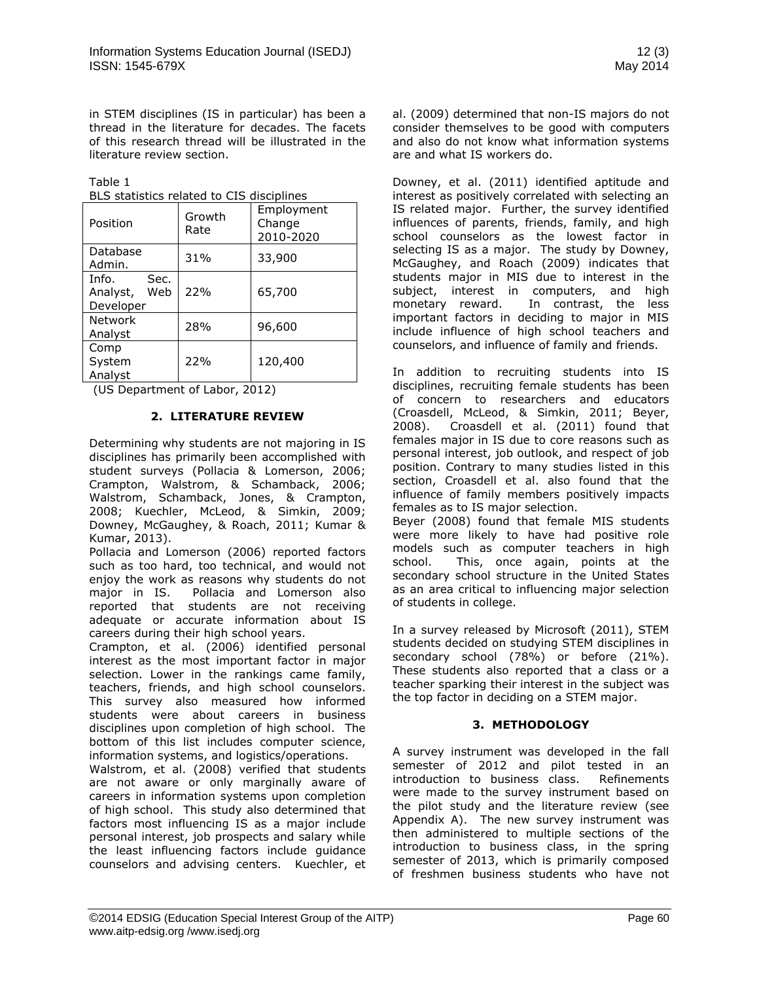in STEM disciplines (IS in particular) has been a thread in the literature for decades. The facets of this research thread will be illustrated in the literature review section.

Table 1

|  |  | BLS statistics related to CIS disciplines |  |
|--|--|-------------------------------------------|--|
|  |  |                                           |  |

| Position                                      | Growth<br>Rate | Employment<br>Change<br>2010-2020 |
|-----------------------------------------------|----------------|-----------------------------------|
| Database<br>Admin.                            | 31%            | 33,900                            |
| Info.<br>Sec.<br>Analyst,<br>Web<br>Developer | 22%            | 65,700                            |
| <b>Network</b><br>Analyst                     | 28%            | 96,600                            |
| Comp<br>System<br>Analyst                     | 22%            | 120,400                           |

(US Department of Labor, 2012)

# **2. LITERATURE REVIEW**

Determining why students are not majoring in IS disciplines has primarily been accomplished with student surveys (Pollacia & Lomerson, 2006; Crampton, Walstrom, & Schamback, 2006; Walstrom, Schamback, Jones, & Crampton, 2008; Kuechler, McLeod, & Simkin, 2009; Downey, McGaughey, & Roach, 2011; Kumar & Kumar, 2013).

Pollacia and Lomerson (2006) reported factors such as too hard, too technical, and would not enjoy the work as reasons why students do not major in IS. Pollacia and Lomerson also reported that students are not receiving adequate or accurate information about IS careers during their high school years.

Crampton, et al. (2006) identified personal interest as the most important factor in major selection. Lower in the rankings came family, teachers, friends, and high school counselors. This survey also measured how informed students were about careers in business disciplines upon completion of high school. The bottom of this list includes computer science, information systems, and logistics/operations.

Walstrom, et al. (2008) verified that students are not aware or only marginally aware of careers in information systems upon completion of high school. This study also determined that factors most influencing IS as a major include personal interest, job prospects and salary while the least influencing factors include guidance counselors and advising centers. Kuechler, et

al. (2009) determined that non-IS majors do not consider themselves to be good with computers and also do not know what information systems are and what IS workers do.

Downey, et al. (2011) identified aptitude and interest as positively correlated with selecting an IS related major. Further, the survey identified influences of parents, friends, family, and high school counselors as the lowest factor in selecting IS as a major. The study by Downey, McGaughey, and Roach (2009) indicates that students major in MIS due to interest in the subject, interest in computers, and high monetary reward. In contrast, the less important factors in deciding to major in MIS include influence of high school teachers and counselors, and influence of family and friends.

In addition to recruiting students into IS disciplines, recruiting female students has been of concern to researchers and educators (Croasdell, McLeod, & Simkin, 2011; Beyer, 2008). Croasdell et al. (2011) found that females major in IS due to core reasons such as personal interest, job outlook, and respect of job position. Contrary to many studies listed in this section, Croasdell et al. also found that the influence of family members positively impacts females as to IS major selection.

Beyer (2008) found that female MIS students were more likely to have had positive role models such as computer teachers in high school. This, once again, points at the secondary school structure in the United States as an area critical to influencing major selection of students in college.

In a survey released by Microsoft (2011), STEM students decided on studying STEM disciplines in secondary school (78%) or before (21%). These students also reported that a class or a teacher sparking their interest in the subject was the top factor in deciding on a STEM major.

# **3. METHODOLOGY**

A survey instrument was developed in the fall semester of 2012 and pilot tested in an introduction to business class. Refinements were made to the survey instrument based on the pilot study and the literature review (see Appendix A). The new survey instrument was then administered to multiple sections of the introduction to business class, in the spring semester of 2013, which is primarily composed of freshmen business students who have not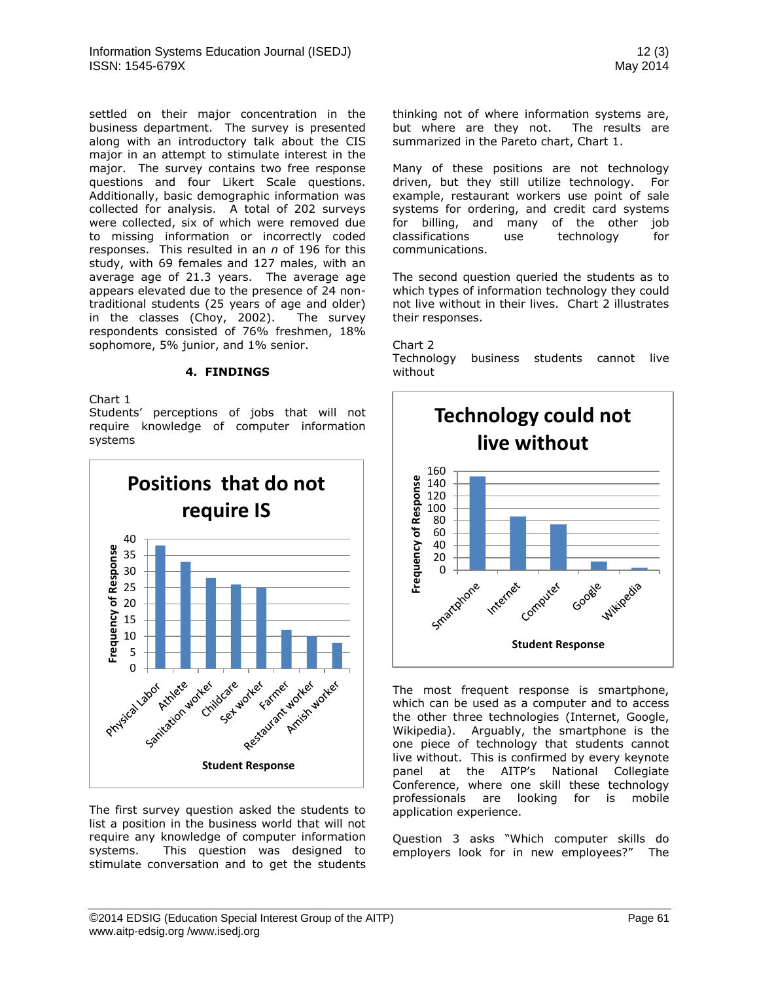settled on their major concentration in the business department. The survey is presented along with an introductory talk about the CIS major in an attempt to stimulate interest in the major. The survey contains two free response questions and four Likert Scale questions. Additionally, basic demographic information was collected for analysis. A total of 202 surveys were collected, six of which were removed due to missing information or incorrectly coded responses. This resulted in an *n* of 196 for this study, with 69 females and 127 males, with an average age of 21.3 years. The average age appears elevated due to the presence of 24 nontraditional students (25 years of age and older) in the classes (Choy, 2002). The survey respondents consisted of 76% freshmen, 18% sophomore, 5% junior, and 1% senior.

#### **4. FINDINGS**

Chart 1

Students' perceptions of jobs that will not require knowledge of computer information systems



The first survey question asked the students to list a position in the business world that will not require any knowledge of computer information systems. This question was designed to stimulate conversation and to get the students

The most frequent response is smartphone, which can be used as a computer and to access the other three technologies (Internet, Google, Wikipedia). Arguably, the smartphone is the one piece of technology that students cannot live without. This is confirmed by every keynote panel at the AITP's National Collegiate Conference, where one skill these technology professionals are looking for is mobile application experience.

Question 3 asks "Which computer skills do employers look for in new employees?" The

Many of these positions are not technology driven, but they still utilize technology. For example, restaurant workers use point of sale systems for ordering, and credit card systems for billing, and many of the other job classifications use technology for communications.

The second question queried the students as to which types of information technology they could not live without in their lives. Chart 2 illustrates their responses.

Chart 2

Technology business students cannot live without

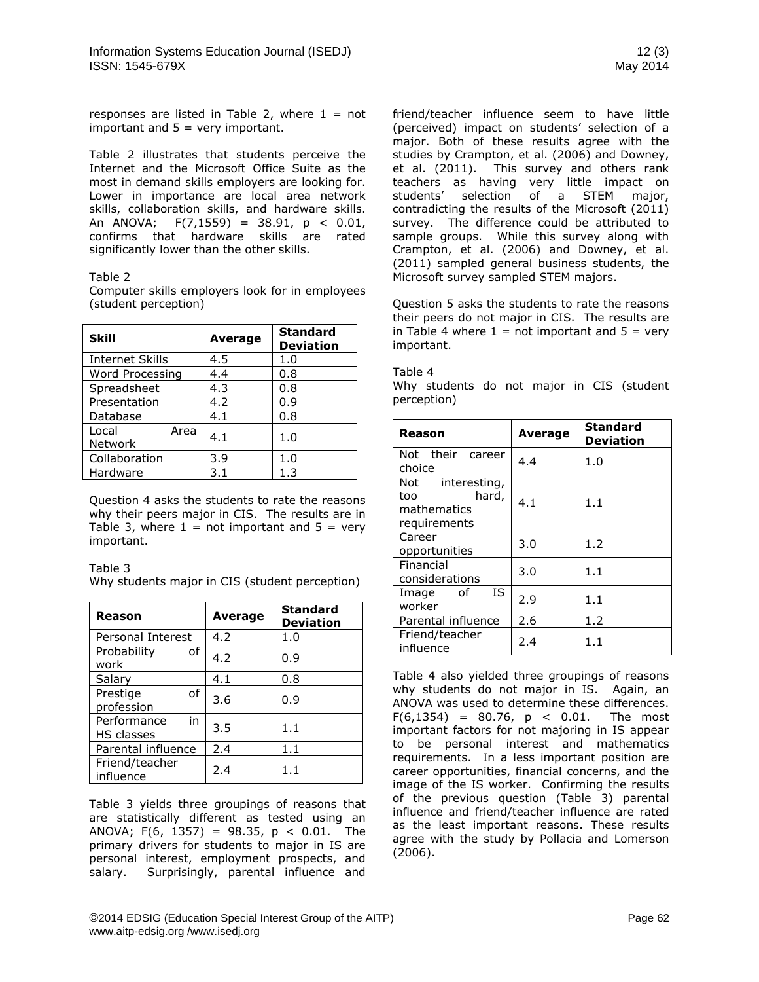responses are listed in Table 2, where  $1 = not$ important and  $5 = \text{very important.}$ 

Table 2 illustrates that students perceive the Internet and the Microsoft Office Suite as the most in demand skills employers are looking for. Lower in importance are local area network skills, collaboration skills, and hardware skills. An ANOVA;  $F(7,1559) = 38.91$ ,  $p < 0.01$ , confirms that hardware skills are rated significantly lower than the other skills.

#### Table 2

| <b>Skill</b>             | <b>Average</b> | <b>Standard</b><br><b>Deviation</b> |
|--------------------------|----------------|-------------------------------------|
| <b>Internet Skills</b>   | 4.5            | 1.0                                 |
| Word Processing          | 4.4            | 0.8                                 |
| Spreadsheet              | 4.3            | 0.8                                 |
| Presentation             | 4.2            | 0.9                                 |
| Database                 | 4.1            | 0.8                                 |
| Local<br>Area<br>Network | 4.1            | 1.0                                 |
| Collaboration            | 3.9            | 1.0                                 |
| Hardware                 | 3.1            | 1.3                                 |

Computer skills employers look for in employees (student perception)

Question 4 asks the students to rate the reasons why their peers major in CIS. The results are in Table 3, where  $1 = \text{not important}$  and  $5 = \text{very}$ important.

Table 3

Why students major in CIS (student perception)

| Reason                                 | Average | <b>Standard</b><br><b>Deviation</b> |
|----------------------------------------|---------|-------------------------------------|
| Personal Interest                      | 4.2     | 1.0                                 |
| Probability<br>of<br>work              | 4.2     | 0.9                                 |
| Salary                                 | 4.1     | 0.8                                 |
| Prestige<br>of<br>profession           | 3.6     | 0.9                                 |
| in<br>Performance<br><b>HS classes</b> | 3.5     | 1.1                                 |
| Parental influence                     | 2.4     | 1.1                                 |
| Friend/teacher<br>influence            | 2.4     | 1.1                                 |

Table 3 yields three groupings of reasons that are statistically different as tested using an ANOVA; F(6, 1357) = 98.35,  $p < 0.01$ . The primary drivers for students to major in IS are personal interest, employment prospects, and salary. Surprisingly, parental influence and friend/teacher influence seem to have little (perceived) impact on students' selection of a major. Both of these results agree with the studies by Crampton, et al. (2006) and Downey, et al. (2011). This survey and others rank teachers as having very little impact on students' selection of a STEM major, contradicting the results of the Microsoft (2011) survey. The difference could be attributed to sample groups. While this survey along with Crampton, et al. (2006) and Downey, et al. (2011) sampled general business students, the Microsoft survey sampled STEM majors.

Question 5 asks the students to rate the reasons their peers do not major in CIS. The results are in Table 4 where  $1 = \text{not important}$  and  $5 = \text{very}$ important.

#### Table 4

Why students do not major in CIS (student perception)

| Reason                                                          | <b>Average</b> | <b>Standard</b><br><b>Deviation</b> |
|-----------------------------------------------------------------|----------------|-------------------------------------|
| Not their career<br>choice                                      | 4.4            | 1.0                                 |
| Not interesting,<br>hard,<br>too<br>mathematics<br>requirements | 4.1            | 1.1                                 |
| Career<br>opportunities                                         | 3.0            | 1.2                                 |
| Financial<br>considerations                                     | 3.0            | 1.1                                 |
| IS.<br>Image of<br>worker                                       | 2.9            | 1.1                                 |
| Parental influence                                              | 2.6            | 1.2                                 |
| Friend/teacher<br>influence                                     | 2.4            | 1.1                                 |

Table 4 also yielded three groupings of reasons why students do not major in IS. Again, an ANOVA was used to determine these differences.  $F(6, 1354) = 80.76$ ,  $p < 0.01$ . The most important factors for not majoring in IS appear to be personal interest and mathematics requirements. In a less important position are career opportunities, financial concerns, and the image of the IS worker. Confirming the results of the previous question (Table 3) parental influence and friend/teacher influence are rated as the least important reasons. These results agree with the study by Pollacia and Lomerson (2006).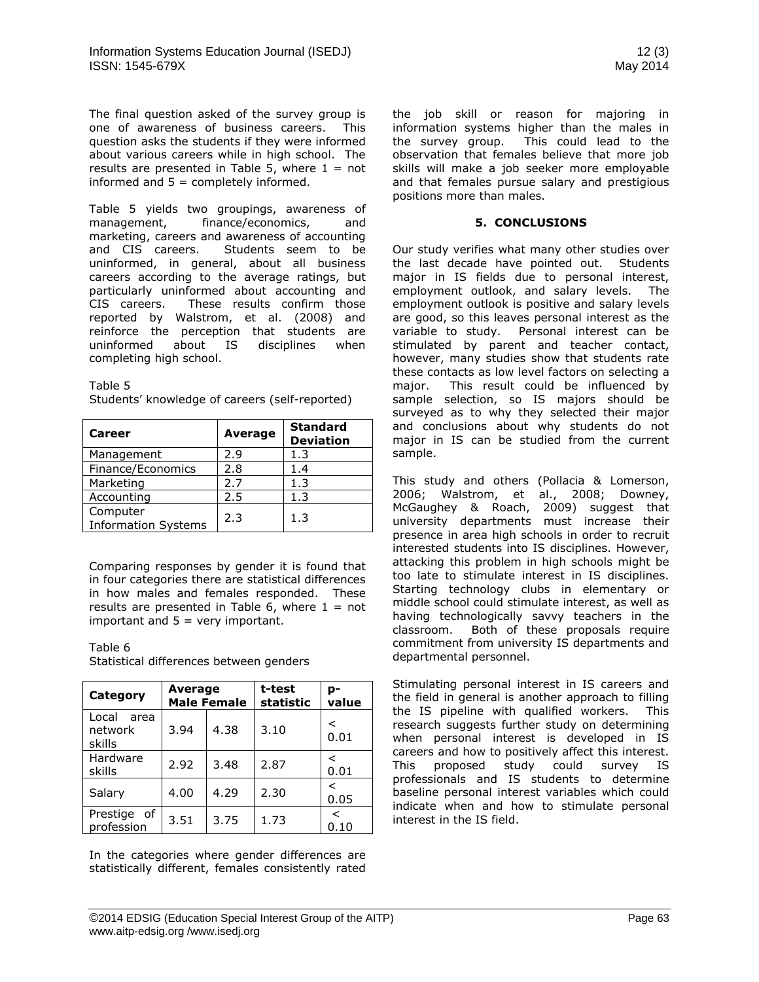The final question asked of the survey group is one of awareness of business careers. This question asks the students if they were informed about various careers while in high school. The results are presented in Table 5, where  $1 = not$ informed and  $5 =$  completely informed.

Table 5 yields two groupings, awareness of management, finance/economics, and marketing, careers and awareness of accounting and CIS careers. Students seem to be uninformed, in general, about all business careers according to the average ratings, but particularly uninformed about accounting and CIS careers. These results confirm those reported by Walstrom, et al. (2008) and reinforce the perception that students are uninformed about IS disciplines when completing high school.

Table 5

| Students' knowledge of careers (self-reported) |  |
|------------------------------------------------|--|
|------------------------------------------------|--|

| Career                                 | Average | <b>Standard</b><br><b>Deviation</b> |
|----------------------------------------|---------|-------------------------------------|
| Management                             | 2.9     | 1.3                                 |
| Finance/Economics                      | 2.8     | 1.4                                 |
| Marketing                              | 2.7     | 1.3                                 |
| Accounting                             | 2.5     | 1.3                                 |
| Computer<br><b>Information Systems</b> | 2.3     | 1.3                                 |

Comparing responses by gender it is found that in four categories there are statistical differences in how males and females responded. These results are presented in Table 6, where  $1 = not$ important and  $5 = \text{very important.}$ 

# Table 6

Statistical differences between genders

| Category                           | Average | <b>Male Female</b> | t-test<br>statistic | p-<br>value |  |
|------------------------------------|---------|--------------------|---------------------|-------------|--|
| Local<br>area<br>network<br>skills | 3.94    | 3.10<br>4.38       |                     | <<br>0.01   |  |
| Hardware<br>skills                 | 2.92    | 3.48               | 2.87                | <<br>0.01   |  |
| Salary                             | 4.00    | 4.29               | 2.30                | <<br>0.05   |  |
| Prestige<br>of<br>profession       | 3.51    | 3.75               | 1.73                | ✓<br>0.10   |  |

In the categories where gender differences are statistically different, females consistently rated the job skill or reason for majoring in information systems higher than the males in the survey group. This could lead to the observation that females believe that more job skills will make a job seeker more employable and that females pursue salary and prestigious positions more than males.

## **5. CONCLUSIONS**

Our study verifies what many other studies over the last decade have pointed out. Students major in IS fields due to personal interest, employment outlook, and salary levels. The employment outlook is positive and salary levels are good, so this leaves personal interest as the variable to study. Personal interest can be stimulated by parent and teacher contact, however, many studies show that students rate these contacts as low level factors on selecting a major. This result could be influenced by sample selection, so IS majors should be surveyed as to why they selected their major and conclusions about why students do not major in IS can be studied from the current sample.

This study and others (Pollacia & Lomerson, 2006; Walstrom, et al., 2008; Downey, McGaughey & Roach, 2009) suggest that university departments must increase their presence in area high schools in order to recruit interested students into IS disciplines. However, attacking this problem in high schools might be too late to stimulate interest in IS disciplines. Starting technology clubs in elementary or middle school could stimulate interest, as well as having technologically savvy teachers in the classroom. Both of these proposals require commitment from university IS departments and departmental personnel.

Stimulating personal interest in IS careers and the field in general is another approach to filling the IS pipeline with qualified workers. This research suggests further study on determining when personal interest is developed in IS careers and how to positively affect this interest. This proposed study could survey IS professionals and IS students to determine baseline personal interest variables which could indicate when and how to stimulate personal interest in the IS field.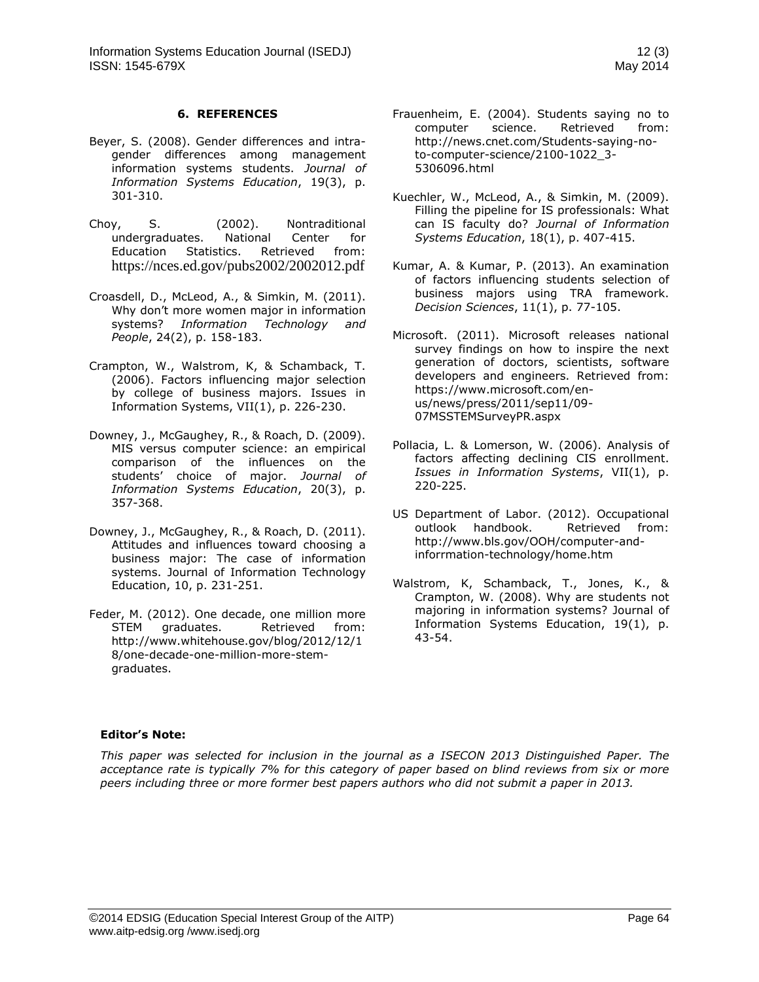## **6. REFERENCES**

- Beyer, S. (2008). Gender differences and intragender differences among management information systems students. *Journal of Information Systems Education*, 19(3), p. 301-310.
- Choy, S. (2002). Nontraditional undergraduates. National Center for Education Statistics. Retrieved from: <https://nces.ed.gov/pubs2002/2002012.pdf>
- Croasdell, D., McLeod, A., & Simkin, M. (2011). Why don't more women major in information systems? *Information Technology and People*, 24(2), p. 158-183.
- Crampton, W., Walstrom, K, & Schamback, T. (2006). Factors influencing major selection by college of business majors. Issues in Information Systems, VII(1), p. 226-230.
- Downey, J., McGaughey, R., & Roach, D. (2009). MIS versus computer science: an empirical comparison of the influences on the students' choice of major. *Journal of Information Systems Education*, 20(3), p. 357-368.
- Downey, J., McGaughey, R., & Roach, D. (2011). Attitudes and influences toward choosing a business major: The case of information systems. Journal of Information Technology Education, 10, p. 231-251.
- Feder, M. (2012). One decade, one million more STEM graduates. Retrieved from: [http://www.whitehouse.gov/blog/2012/12/1](http://www.whitehouse.gov/blog/2012/12/18/one-decade-one-million-more-stem-graduates) [8/one-decade-one-million-more-stem](http://www.whitehouse.gov/blog/2012/12/18/one-decade-one-million-more-stem-graduates)[graduates.](http://www.whitehouse.gov/blog/2012/12/18/one-decade-one-million-more-stem-graduates)
- Frauenheim, E. (2004). Students saying no to computer science. Retrieved from: [http://news.cnet.com/Students-saying-no](http://news.cnet.com/Students-saying-no-to-computer-science/2100-1022_3-5306096.html)[to-computer-science/2100-1022\\_3-](http://news.cnet.com/Students-saying-no-to-computer-science/2100-1022_3-5306096.html) [5306096.html](http://news.cnet.com/Students-saying-no-to-computer-science/2100-1022_3-5306096.html)
- Kuechler, W., McLeod, A., & Simkin, M. (2009). Filling the pipeline for IS professionals: What can IS faculty do? *Journal of Information Systems Education*, 18(1), p. 407-415.
- Kumar, A. & Kumar, P. (2013). An examination of factors influencing students selection of business majors using TRA framework. *Decision Sciences*, 11(1), p. 77-105.
- Microsoft. (2011). Microsoft releases national survey findings on how to inspire the next generation of doctors, scientists, software developers and engineers. Retrieved from: [https://www.microsoft.com/en](https://www.microsoft.com/en-us/news/press/2011/sep11/09-07MSSTEMSurveyPR.aspx)[us/news/press/2011/sep11/09-](https://www.microsoft.com/en-us/news/press/2011/sep11/09-07MSSTEMSurveyPR.aspx) [07MSSTEMSurveyPR.aspx](https://www.microsoft.com/en-us/news/press/2011/sep11/09-07MSSTEMSurveyPR.aspx)
- Pollacia, L. & Lomerson, W. (2006). Analysis of factors affecting declining CIS enrollment. *Issues in Information Systems*, VII(1), p. 220-225.
- US Department of Labor. (2012). Occupational outlook handbook. Retrieved from: [http://www.bls.gov/OOH/computer-and](http://www.bls.gov/OOH/computer-and-inforrmation-technology/home.htm)[inforrmation-technology/home.htm](http://www.bls.gov/OOH/computer-and-inforrmation-technology/home.htm)
- Walstrom, K, Schamback, T., Jones, K., & Crampton, W. (2008). Why are students not majoring in information systems? Journal of Information Systems Education, 19(1), p. 43-54.

# **Editor's Note:**

*This paper was selected for inclusion in the journal as a ISECON 2013 Distinguished Paper. The acceptance rate is typically 7% for this category of paper based on blind reviews from six or more peers including three or more former best papers authors who did not submit a paper in 2013.*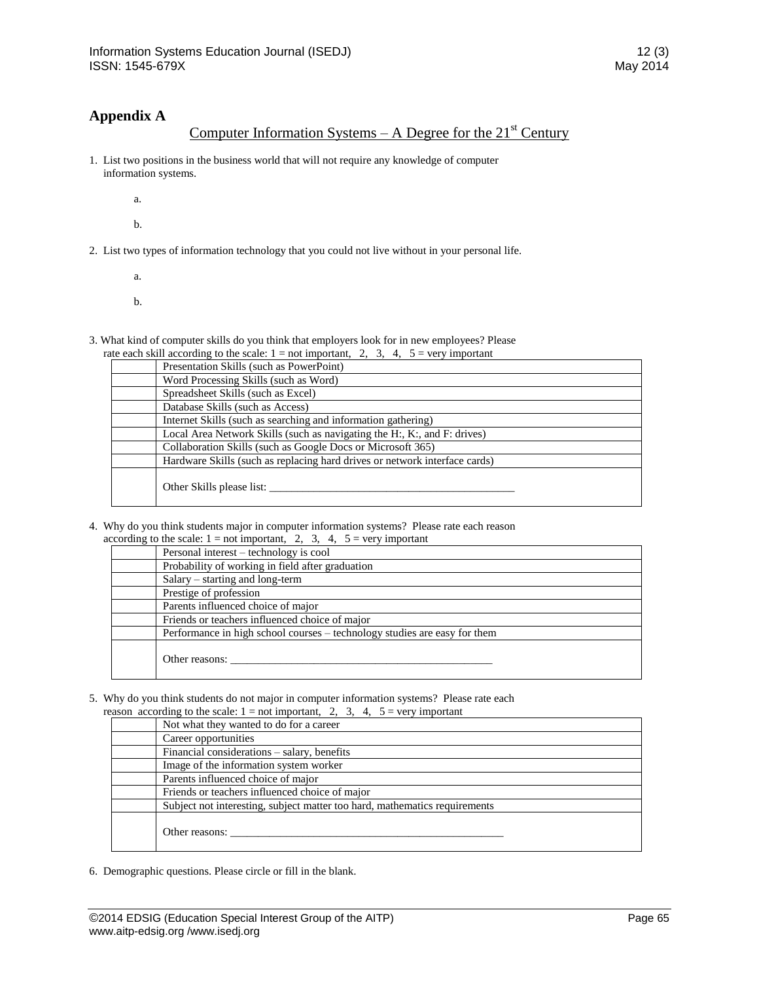# **Appendix A**

# Computer Information Systems – A Degree for the  $21<sup>st</sup>$  Century

- 1. List two positions in the business world that will not require any knowledge of computer information systems.
	- a.
	- b.
- 2. List two types of information technology that you could not live without in your personal life.
	- a.
	- b.
- 3. What kind of computer skills do you think that employers look for in new employees? Please

|  |  |  |  | rate each skill according to the scale: $1 = not$ important, 2, 3, 4, $5 = very$ important |  |
|--|--|--|--|--------------------------------------------------------------------------------------------|--|

| Presentation Skills (such as PowerPoint)                                   |
|----------------------------------------------------------------------------|
| Word Processing Skills (such as Word)                                      |
| Spreadsheet Skills (such as Excel)                                         |
| Database Skills (such as Access)                                           |
| Internet Skills (such as searching and information gathering)              |
| Local Area Network Skills (such as navigating the H:, K:, and F: drives)   |
| Collaboration Skills (such as Google Docs or Microsoft 365)                |
| Hardware Skills (such as replacing hard drives or network interface cards) |
| Other Skills please list:                                                  |

4. Why do you think students major in computer information systems? Please rate each reason according to the scale:  $1 = \text{not important}$ ,  $2$ ,  $3$ ,  $4$ ,  $5 = \text{very important}$ 

| cording to the search $1 - \text{not imp}$ matrix, $\omega$ , $\omega$ , $\tau$ , $\omega - \text{ref}$ matrix |
|----------------------------------------------------------------------------------------------------------------|
| Personal interest – technology is cool                                                                         |
| Probability of working in field after graduation                                                               |
| $Salary - starting$ and long-term                                                                              |
| Prestige of profession                                                                                         |
| Parents influenced choice of major                                                                             |
| Friends or teachers influenced choice of major                                                                 |
| Performance in high school courses – technology studies are easy for them                                      |
| Other reasons:                                                                                                 |

5. Why do you think students do not major in computer information systems? Please rate each normal property of the spale  $1$  and important  $2\frac{3}{4}$  for non-important reason according to the scale:  $1 = \text{not}$  important,  $2\overline{3}$ ,  $3\overline{4}$ ,  $5 = \text{very}$  important

| ason according to the scale: $1 = \text{not important}, \quad 2, \quad 3, \quad 4, \quad 5 = \text{very important}$ |
|---------------------------------------------------------------------------------------------------------------------|
| Not what they wanted to do for a career                                                                             |
| Career opportunities                                                                                                |
| Financial considerations – salary, benefits                                                                         |
| Image of the information system worker                                                                              |
| Parents influenced choice of major                                                                                  |
| Friends or teachers influenced choice of major                                                                      |
| Subject not interesting, subject matter too hard, mathematics requirements                                          |
| Other reasons:                                                                                                      |

6. Demographic questions. Please circle or fill in the blank.